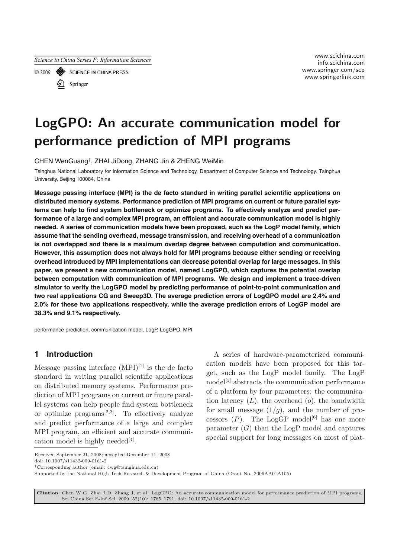

Springer

www.scichina.com info.scichina.com www.springer.com/scp www.springer.com/scp www.pringerlink.com

# **LogGPO: An accurate communication model for performance prediction of MPI programs**

CHEN WenGuang†, ZHAI JiDong, ZHANG Jin & ZHENG WeiMin

Tsinghua National Laboratory for Information Science and Technology, Department of Computer Science and Technology, Tsinghua University, Beijing 100084, China

**Message passing interface (MPI) is the de facto standard in writing parallel scientific applications on distributed memory systems. Performance prediction of MPI programs on current or future parallel systems can help to find system bottleneck or optimize programs. To effectively analyze and predict performance of a large and complex MPI program, an efficient and accurate communication model is highly needed. A series of communication models have been proposed, such as the LogP model family, which assume that the sending overhead, message transmission, and receiving overhead of a communication is not overlapped and there is a maximum overlap degree between computation and communication. However, this assumption does not always hold for MPI programs because either sending or receiving overhead introduced by MPI implementations can decrease potential overlap for large messages. In this paper, we present a new communication model, named LogGPO, which captures the potential overlap between computation with communication of MPI programs. We design and implement a trace-driven simulator to verify the LogGPO model by predicting performance of point-to-point communication and two real applications CG and Sweep3D. The average prediction errors of LogGPO model are 2.4% and 2.0% for these two applications respectively, while the average prediction errors of LogGP model are 38.3% and 9.1% respectively.**

performance prediction, communication model, LogP, LogGPO, MPI

## **1 Introduction**

Message passing interface  $(MPI)^{[1]}$  is the de facto standard in writing parallel scientific applications on distributed memory systems. Performance prediction of MPI programs on current or future parallel systems can help people find system bottleneck or optimize programs[2*,*3]. To effectively analyze and predict performance of a large and complex MPI program, an efficient and accurate communication model is highly needed<sup>[4]</sup>.

A series of hardware-parameterized communication models have been proposed for this target, such as the LogP model family. The LogP model<sup>[5]</sup> abstracts the communication performance of a platform by four parameters: the communication latency  $(L)$ , the overhead  $(o)$ , the bandwidth for small message  $(1/q)$ , and the number of processors  $(P)$ . The LogGP model<sup>[6]</sup> has one more parameter  $(G)$  than the LogP model and captures special support for long messages on most of plat-

**Citation:** Chen W G, Zhai J D, Zhang J, et al. LogGPO: An accurate communication model for performance prediction of MPI programs. Sci China Ser F-Inf Sci, 2009, 52(10): 1785–1791, doi: 10.1007/s11432-009-0161-2

Received September 21, 2008; accepted December 11, 2008 doi: 10.1007/s11432-009-0161-2

*<sup>†</sup>*Corresponding author (email: cwg@tsinghua.edu.cn)

Supported by the National High-Tech Research & Development Program of China (Grant No. 2006AA01A105)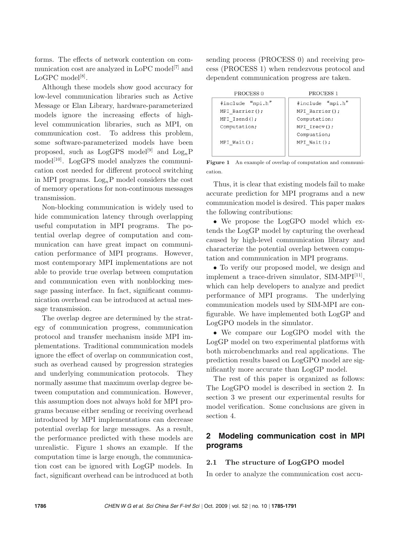forms. The effects of network contention on communication cost are analyzed in LoPC model<sup>[7]</sup> and  $LoGPC$  model<sup>[8]</sup>.

Although these models show good accuracy for low-level communication libraries such as Active Message or Elan Library, hardware-parameterized models ignore the increasing effects of highlevel communication libraries, such as MPI, on communication cost. To address this problem, some software-parameterized models have been proposed, such as  $LogGPS \text{ model}^{[9]}$  and  $Log_nP$ model<sup>[10]</sup>. LogGPS model analyzes the communication cost needed for different protocol switching in MPI programs.  $Log_nP$  model considers the cost of memory operations for non-continuous messages transmission.

Non-blocking communication is widely used to hide communication latency through overlapping useful computation in MPI programs. The potential overlap degree of computation and communication can have great impact on communication performance of MPI programs. However, most contemporary MPI implementations are not able to provide true overlap between computation and communication even with nonblocking message passing interface. In fact, significant communication overhead can be introduced at actual message transmission.

The overlap degree are determined by the strategy of communication progress, communication protocol and transfer mechanism inside MPI implementations. Traditional communication models ignore the effect of overlap on communication cost, such as overhead caused by progression strategies and underlying communication protocols. They normally assume that maximum overlap degree between computation and communication. However, this assumption does not always hold for MPI programs because either sending or receiving overhead introduced by MPI implementations can decrease potential overlap for large messages. As a result, the performance predicted with these models are unrealistic. Figure 1 shows an example. If the computation time is large enough, the communication cost can be ignored with LogGP models. In fact, significant overhead can be introduced at both sending process (PROCESS 0) and receiving process (PROCESS 1) when rendezvous protocol and dependent communication progress are taken.

| PROCESS <sub>0</sub>               | PROCESS <sub>1</sub>               |
|------------------------------------|------------------------------------|
| #include "mpi.h"<br>MPI Barrier(); | #include "mpi.h"<br>MPI Barrier(); |
| MPI Isend();                       | Computation;                       |
| Computation;                       | MPI Irecv();<br>Compuation;        |
| $MPI$ Wait $()$ ;                  | $MPI$ Wait $()$ ;                  |

**Figure 1** An example of overlap of computation and communication.

Thus, it is clear that existing models fail to make accurate prediction for MPI programs and a new communication model is desired. This paper makes the following contributions:

• We propose the LogGPO model which extends the LogGP model by capturing the overhead caused by high-level communication library and characterize the potential overlap between computation and communication in MPI programs.

• To verify our proposed model, we design and implement a trace-driven simulator,  $SIM-MPI<sup>[11]</sup>$ , which can help developers to analyze and predict performance of MPI programs. The underlying communication models used by SIM-MPI are configurable. We have implemented both LogGP and LogGPO models in the simulator.

*•* We compare our LogGPO model with the LogGP model on two experimental platforms with both microbenchmarks and real applications. The prediction results based on LogGPO model are significantly more accurate than LogGP model.

The rest of this paper is organized as follows: The LogGPO model is described in section 2. In section 3 we present our experimental results for model verification. Some conclusions are given in section 4.

## **2 Modeling communication cost in MPI programs**

#### **2.1 The structure of LogGPO model**

In order to analyze the communication cost accu-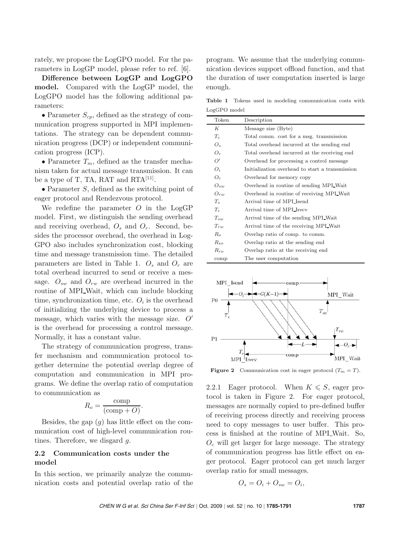rately, we propose the LogGPO model. For the parameters in LogGP model, please refer to ref. [6].

**Difference between LogGP and LogGPO model.** Compared with the LogGP model, the LogGPO model has the following additional parameters:

*•* Parameter *Scp*, defined as the strategy of communication progress supported in MPI implementations. The strategy can be dependent communication progress (DCP) or independent communication progress (ICP).

*•* Parameter *T<sup>m</sup>*, defined as the transfer mechanism taken for actual message transmission. It can be a type of T, TA, RAT and  $RTA^{[11]}$ .

*•* Parameter *S*, defined as the switching point of eager protocol and Rendezvous protocol.

We redefine the parameter *O* in the LogGP model. First, we distinguish the sending overhead and receiving overhead,  $O_s$  and  $O_r$ . Second, besides the processor overhead, the overhead in Log-GPO also includes synchronization cost, blocking time and message transmission time. The detailed parameters are listed in Table 1. *<sup>O</sup><sup>s</sup>* and *<sup>O</sup><sup>r</sup>* are total overhead incurred to send or receive a message.  $O_{sw}$  and  $O_{rw}$  are overhead incurred in the routine of MPI<sub>-</sub>Wait, which can include blocking time, synchronization time, etc.  $O_i$  is the overhead of initializing the underlying device to process a message, which varies with the message size. *O*<sup>-</sup><br>is the exerched for processing a control message is the overhead for processing a control message. Normally, it has a constant value.

The strategy of communication progress, transfer mechanism and communication protocol together determine the potential overlap degree of computation and communication in MPI programs. We define the overlap ratio of computation to communication as

$$
R_o = \frac{\text{comp}}{(\text{comp} + O)}.
$$

Besides, the gap (*g*) has little effect on the communication cost of high-level communication routines. Therefore, we disgard *g*.

## **2.2 Communication costs under the model**

In this section, we primarily analyze the communication costs and potential overlap ratio of the program. We assume that the underlying communication devices support offload function, and that the duration of user computation inserted is large enough.

**Table 1** Tokens used in modeling communication costs with LogGPO model

| Token          | Description                                     |
|----------------|-------------------------------------------------|
| К              | Message size (Byte)                             |
| $T_c$          | Total comm. cost for a msg. transmission        |
| $O_{s}$        | Total overhead incurred at the sending end      |
| $O_r$          | Total overhead incurred at the receiving end    |
| O'             | Overhead for processing a control message       |
| $O_i$          | Initialization overhead to start a transmission |
| O <sub>c</sub> | Overhead for memory copy                        |
| $O_{sw}$       | Overhead in routine of sending MPI Wait         |
| $O_{rw}$       | Overhead in routine of receiving MPI Wait       |
| $T_{s}$        | Arrival time of MPL Isend                       |
| $T_r$          | Arrival time of MPL Irecv                       |
| $T_{sw}$       | Arrival time of the sending MPI Wait            |
| $T_{rw}$       | Arrival time of the receiving MPI Wait          |
| $R_{\alpha}$   | Overlap ratio of comp. to comm.                 |
| $R_{so}$       | Overlap ratio at the sending end                |
| $R_{ro}$       | Overlap ratio at the receiving end.             |
| comp           | The user computation                            |



**Figure 2** Communication cost in eager protocol  $(T_m = T)$ .

2.2.1 Eager protocol. When  $K \leqslant S$ , eager protocol is taken in Figure 2. For eager protocol, messages are normally copied to pre-defined buffer of receiving process directly and receiving process need to copy messages to user buffer. This process is finished at the routine of MPI Wait. So,  $O<sub>c</sub>$  will get larger for large message. The strategy of communication progress has little effect on eager protocol. Eager protocol can get much larger overlap ratio for small messages.

$$
O_s = O_i + O_{sw} = O_i,
$$

*CHEN W G et al. Sci China Ser F-Inf Sci |* Oct. 2009 *|* vol. 52 *|* no. 10 *|* **1785-1791 1787**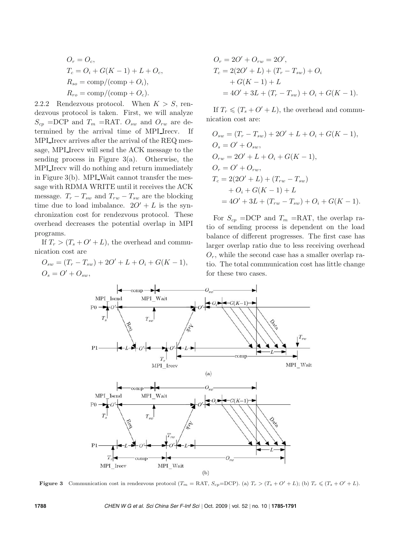$$
O_r = O_c,
$$
  
\n
$$
T_c = O_i + G(K - 1) + L + O_c,
$$
  
\n
$$
R_{so} = \text{comp}/(\text{comp} + O_i),
$$
  
\n
$$
R_{ro} = \text{comp}/(\text{comp} + O_c).
$$

2.2.2 Rendezvous protocol. When  $K > S$ , ren-<br>dozvous protocol is taken. First, we will applyze dezvous protocol is taken. First, we will analyze  $S_{cp}$  =DCP and  $T_m$  =RAT.  $O_{sw}$  and  $O_{rw}$  are determined by the arrival time of MPI Irecv. If MPI Irecv arrives after the arrival of the REQ message, MPI Irecv will send the ACK message to the sending process in Figure  $3(a)$ . Otherwise, the MPI Irecv will do nothing and return immediately in Figure  $3(b)$ . MPI\_Wait cannot transfer the message with RDMA WRITE until it receives the ACK message.  $T_r - T_{sw}$  and  $T_{rw} - T_{sw}$  are the blocking time due to load imbalance.  $2O' + L$  is the syn-<br>chronization cost for reproduces protocol. These chronization cost for rendezvous protocol. These overhead decreases the potential overlap in MPI programs.

If  $T_r > (T_s + O' + L)$ , the overhead and commu-<br>cation cost are nication cost are

$$
O_{sw} = (T_r - T_{sw}) + 2O' + L + O_i + G(K - 1),
$$
  
\n
$$
O_s = O' + O_{sw},
$$

$$
O_r = 2O' + O_{rw} = 2O',
$$
  
\n
$$
T_c = 2(2O' + L) + (T_r - T_{sw}) + O_i
$$
  
\n
$$
+ G(K - 1) + L
$$
  
\n
$$
= 4O' + 3L + (T_r - T_{sw}) + O_i + G(K - 1).
$$

If  $T_r \leq (T_s + O' + L)$ , the overhead and commu-<br>
costance and communication cost are:

$$
O_{sw} = (T_r - T_{sw}) + 2O' + L + O_i + G(K - 1),
$$
  
\n
$$
O_s = O' + O_{sw},
$$
  
\n
$$
O_{rw} = 2O' + L + O_i + G(K - 1),
$$
  
\n
$$
O_r = O' + O_{rw},
$$
  
\n
$$
T_c = 2(2O' + L) + (T_{rw} - T_{sw})
$$
  
\n
$$
+ O_i + G(K - 1) + L
$$
  
\n
$$
= 4O' + 3L + (T_{rw} - T_{sw}) + O_i + G(K - 1).
$$

For  $S_{cp}$  =DCP and  $T_m$  =RAT, the overlap ratio of sending process is dependent on the load balance of different progresses. The first case has larger overlap ratio due to less receiving overhead  $O_r$ , while the second case has a smaller overlap ratio. The total communication cost has little change for these two cases.



**Figure 3** Communication cost in rendezvous protocol  $(T_m = RAT, S_{cp} = DCP)$ . (a)  $T_r > (T_s + O' + L)$ ; (b)  $T_r \le (T_s + O' + L)$ .

**1788** *CHEN W G et al. Sci China Ser F-Inf Sci |* Oct. 2009 *|* vol. 52 *|* no. 10 *|* **1785-1791**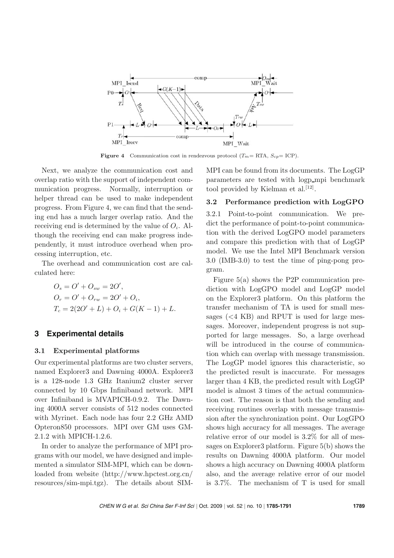

**Figure 4** Communication cost in rendezvous protocol  $(T_m = RTA, S_{cp} = ICP)$ .

Next, we analyze the communication cost and overlap ratio with the support of independent communication progress. Normally, interruption or helper thread can be used to make independent progress. From Figure 4, we can find that the sending end has a much larger overlap ratio. And the receiving end is determined by the value of  $O_i$ . Although the receiving end can make progress independently, it must introduce overhead when processing interruption, etc.

The overhead and communication cost are calculated here:

$$
O_s = O' + O_{sw} = 2O',
$$
  
\n
$$
O_r = O' + O_{rw} = 2O' + O_i,
$$
  
\n
$$
T_c = 2(2O' + L) + O_i + G(K - 1) + L.
$$

#### **3 Experimental details**

#### **3.1 Experimental platforms**

Our experimental platforms are two cluster servers, named Explorer3 and Dawning 4000A. Explorer3 is a 128-node 1.3 GHz Itanium2 cluster server connected by 10 Gbps Infiniband network. MPI over Infiniband is MVAPICH-0.9.2. The Dawning 4000A server consists of 512 nodes connected with Myrinet. Each node has four 2.2 GHz AMD Opteron850 processors. MPI over GM uses GM-2.1.2 with MPICH-1.2.6.

In order to analyze the performance of MPI programs with our model, we have designed and implemented a simulator SIM-MPI, which can be downloaded from website (http://www.hpctest.org.cn/ resources/sim-mpi.tgz). The details about SIM- MPI can be found from its documents. The LogGP parameters are tested with logp mpi benchmark tool provided by Kielman et al.<sup>[12]</sup>.

#### **3.2 Performance prediction with LogGPO**

3.2.1 Point-to-point communication. We predict the performance of point-to-point communication with the derived LogGPO model parameters and compare this prediction with that of LogGP model. We use the Intel MPI Benchmark version 3.0 (IMB-3.0) to test the time of ping-pong program.

Figure 5(a) shows the P2P communication prediction with LogGPO model and LogGP model on the Explorer3 platform. On this platform the transfer mechanism of TA is used for small messages (*<*4 KB) and RPUT is used for large messages. Moreover, independent progress is not supported for large messages. So, a large overhead will be introduced in the course of communication which can overlap with message transmission. The LogGP model ignores this characteristic, so the predicted result is inaccurate. For messages larger than 4 KB, the predicted result with LogGP model is almost 3 times of the actual communication cost. The reason is that both the sending and receiving routines overlap with message transmission after the synchronization point. Our LogGPO shows high accuracy for all messages. The average relative error of our model is 3.2% for all of messages on Explorer3 platform. Figure 5(b) shows the results on Dawning 4000A platform. Our model shows a high accuracy on Dawning 4000A platform also, and the average relative error of our model is 3.7%. The mechanism of T is used for small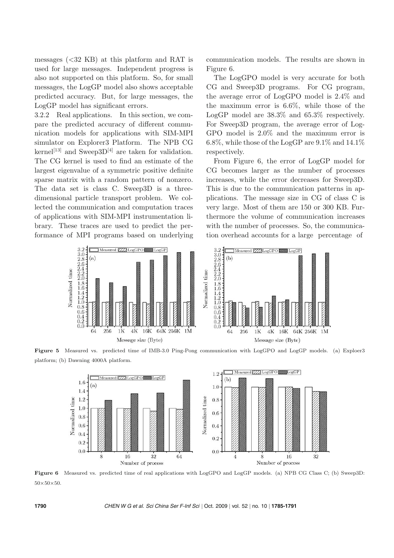messages (*<*32 KB) at this platform and RAT is used for large messages. Independent progress is also not supported on this platform. So, for small messages, the LogGP model also shows acceptable predicted accuracy. But, for large messages, the LogGP model has significant errors.

3.2.2 Real applications. In this section, we compare the predicted accuracy of different communication models for applications with SIM-MPI simulator on Explorer3 Platform. The NPB CG kernel<sup>[13]</sup> and Sweep3D<sup>[4]</sup> are taken for validation. The CG kernel is used to find an estimate of the largest eigenvalue of a symmetric positive definite sparse matrix with a random pattern of nonzero. The data set is class C. Sweep3D is a threedimensional particle transport problem. We collected the communication and computation traces of applications with SIM-MPI instrumentation library. These traces are used to predict the performance of MPI programs based on underlying communication models. The results are shown in Figure 6.

The LogGPO model is very accurate for both CG and Sweep3D programs. For CG program, the average error of LogGPO model is 2.4% and the maximum error is 6.6%, while those of the LogGP model are 38.3% and 65.3% respectively. For Sweep3D program, the average error of Log-GPO model is 2.0% and the maximum error is 6.8%, while those of the LogGP are  $9.1\%$  and  $14.1\%$ respectively.

From Figure 6, the error of LogGP model for CG becomes larger as the number of processes increases, while the error decreases for Sweep3D. This is due to the communication patterns in applications. The message size in CG of class C is very large. Most of them are 150 or 300 KB. Furthermore the volume of communication increases with the number of processes. So, the communication overhead accounts for a large percentage of



**Figure 5** Measured vs. predicted time of IMB-3.0 Ping-Pong communication with LogGPO and LogGP models. (a) Exploer3 platform; (b) Dawning 4000A platform.



**Figure 6** Measured vs. predicted time of real applications with LogGPO and LogGP models. (a) NPB CG Class C; (b) Sweep3D: 50*×*50*×*50.

**1790** *CHEN W G et al. Sci China Ser F-Inf Sci |* Oct. 2009 *|* vol. 52 *|* no. 10 *|* **1785-1791**